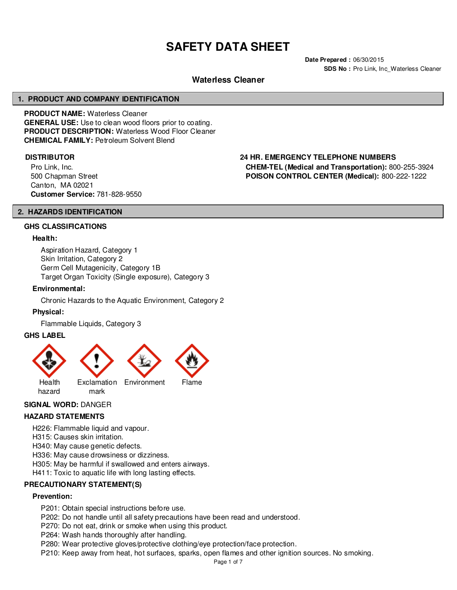# **SAFETY DATA SHEET**

**Date Prepared :** 06/30/2015 **SDS No : Pro Link, Inc Waterless Cleaner** 

# **Waterless Cleaner**

#### **1. PRODUCT AND COMPANY IDENTIFICATION**

**PRODUCT NAME:** Waterless Cleaner **GENERAL USE:** Use to clean wood floors prior to coating. **PRODUCT DESCRIPTION:** Waterless Wood Floor Cleaner **CHEMICAL FAMILY:** Petroleum Solvent Blend

Pro Link, Inc. 500 Chapman Street Canton, MA 02021 **Customer Service:** 781-828-9550

# **DISTRIBUTOR 24 HR. EMERGENCY TELEPHONE NUMBERS**

**CHEM-TEL (Medical and Transportation):** 800-255-3924 **POISON CONTROL CENTER (Medical):** 800-222-1222

#### **2. HAZARDS IDENTIFICATION**

#### **GHS CLASSIFICATIONS**

#### **Health:**

Aspiration Hazard, Category 1 Skin Irritation, Category 2 Germ Cell Mutagenicity, Category 1B Target Organ Toxicity (Single exposure), Category 3

#### **Environmental:**

Chronic Hazards to the Aquatic Environment, Category 2

#### **Physical:**

Flammable Liquids, Category 3

#### **GHS LABEL**



#### **SIGNAL WORD:** DANGER

#### **HAZARD STATEMENTS**

H226: Flammable liquid and vapour.

H315: Causes skin irritation.

H340: May cause genetic defects.

H336: May cause drowsiness or dizziness.

H305: May be harmful if swallowed and enters airways.

H411: Toxic to aquatic life with long lasting effects.

#### **PRECAUTIONARY STATEMENT(S)**

#### **Prevention:**

P201: Obtain special instructions before use.

P202: Do not handle until all safety precautions have been read and understood.

P270: Do not eat, drink or smoke when using this product.

P264: Wash hands thoroughly after handling.

P280: Wear protective gloves/protective clothing/eye protection/face protection.

P210: Keep away from heat, hot surfaces, sparks, open flames and other ignition sources. No smoking.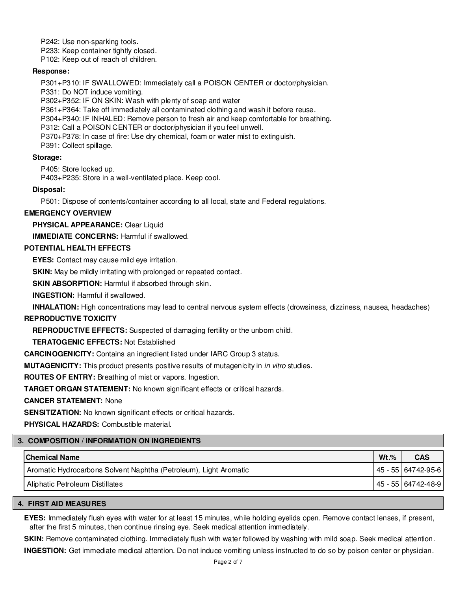P242: Use non-sparking tools.

P233: Keep container tightly closed.

P102: Keep out of reach of children.

#### **Response:**

P301+P310: IF SWALLOWED: Immediately call a POISON CENTER or doctor/physician.

P331: Do NOT induce vomiting.

P302+P352: IF ON SKIN: Wash with plenty of soap and water

P361+P364: Take off immediately all contaminated clothing and wash it before reuse.

P304+P340: IF INHALED: Remove person to fresh air and keep comfortable for breathing.

P312: Call a POISON CENTER or doctor/physician if you feel unwell.

P370+P378: In case of fire: Use dry chemical, foam or water mist to extinguish.

P391: Collect spillage.

## **Storage:**

P405: Store locked up.

P403+P235: Store in a well-ventilated place. Keep cool.

## **Disposal:**

P501: Dispose of contents/container according to all local, state and Federal regulations.

# **EMERGENCY OVERVIEW**

**PHYSICAL APPEARANCE:** Clear Liquid

**IMMEDIATE CONCERNS:** Harmful if swallowed.

# **POTENTIAL HEALTH EFFECTS**

**EYES:** Contact may cause mild eye irritation.

**SKIN:** May be mildly irritating with prolonged or repeated contact.

**SKIN ABSORPTION:** Harmful if absorbed through skin.

**INGESTION:** Harmful if swallowed.

**INHALATION:** High concentrations may lead to central nervous system effects (drowsiness, dizziness, nausea, headaches)

#### **REPRODUCTIVE TOXICITY**

**REPRODUCTIVE EFFECTS:** Suspected of damaging fertility or the unborn child.

**TERATOGENIC EFFECTS:** Not Established

**CARCINOGENICITY:** Contains an ingredient listed under IARC Group 3 status.

**MUTAGENICITY:** This product presents positive results of mutagenicity in in vitro studies.

**ROUTES OF ENTRY:** Breathing of mist or vapors. Ingestion.

**TARGET ORGAN STATEMENT:** No known significant effects or critical hazards.

#### **CANCER STATEMENT:** None

**SENSITIZATION:** No known significant effects or critical hazards.

**PHYSICAL HAZARDS:** Combustible material.

# **3. COMPOSITION / INFORMATION ON INGREDIENTS**

| <b>Chemical Name</b>                                              | $Wt.$ % | <b>CAS</b>           |
|-------------------------------------------------------------------|---------|----------------------|
| Aromatic Hydrocarbons Solvent Naphtha (Petroleum), Light Aromatic |         | 45 - 55   64742-95-6 |
| Aliphatic Petroleum Distillates                                   |         | 45 - 55   64742-48-9 |

# **4. FIRST AID MEASURES**

**EYES:** Immediately flush eyes with water for at least 15 minutes, while holding eyelids open. Remove contact lenses, if present, after the first 5 minutes, then continue rinsing eye. Seek medical attention immediately.

**SKIN:** Remove contaminated clothing. Immediately flush with water followed by washing with mild soap. Seek medical attention.

**INGESTION:** Get immediate medical attention. Do not induce vomiting unless instructed to do so by poison center or physician.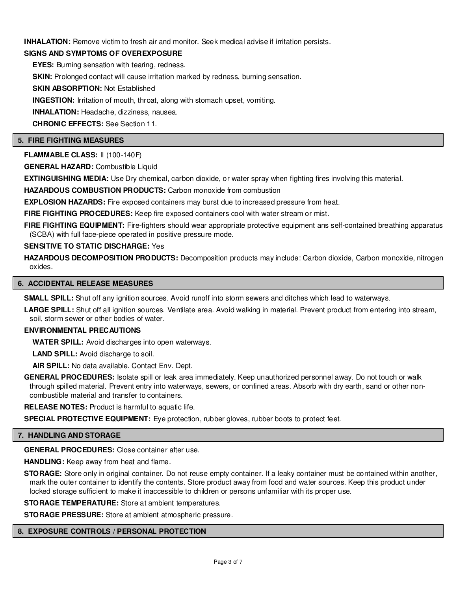**INHALATION:** Remove victim to fresh air and monitor. Seek medical advise if irritation persists.

# **SIGNS AND SYMPTOMS OF OVEREXPOSURE**

**EYES:** Burning sensation with tearing, redness.

**SKIN:** Prolonged contact will cause irritation marked by redness, burning sensation.

**SKIN ABSORPTION:** Not Established

**INGESTION:** Irritation of mouth, throat, along with stomach upset, vomiting.

**INHALATION:** Headache, dizziness, nausea.

**CHRONIC EFFECTS:** See Section 11.

#### **5. FIRE FIGHTING MEASURES**

**FLAMMABLE CLASS:** II (100-140F)

**GENERAL HAZARD:** Combustible Liquid

**EXTINGUISHING MEDIA:** Use Dry chemical, carbon dioxide, or water spray when fighting fires involving this material.

**HAZARDOUS COMBUSTION PRODUCTS:** Carbon monoxide from combustion

**EXPLOSION HAZARDS:** Fire exposed containers may burst due to increased pressure from heat.

**FIRE FIGHTING PROCEDURES:** Keep fire exposed containers cool with water stream or mist.

FIRE FIGHTING EQUIPMENT: Fire-fighters should wear appropriate protective equipment ans self-contained breathing apparatus (SCBA) with full face-piece operated in positive pressure mode.

#### **SENSITIVE TO STATIC DISCHARGE:** Yes

HAZARDOUS DECOMPOSITION PRODUCTS: Decomposition products may include: Carbon dioxide, Carbon monoxide, nitrogen oxides.

#### **6. ACCIDENTAL RELEASE MEASURES**

**SMALL SPILL:** Shut off any ignition sources. Avoid runoff into storm sewers and ditches which lead to waterways.

LARGE SPILL: Shut off all ignition sources. Ventilate area. Avoid walking in material. Prevent product from entering into stream, soil, storm sewer or other bodies of water.

#### **ENVIRONMENTAL PRECAUTIONS**

**WATER SPILL:** Avoid discharges into open waterways.

**LAND SPILL:** Avoid discharge to soil.

**AIR SPILL:** No data available. Contact Env. Dept.

**GENERAL PROCEDURES:** Isolate spill or leak area immediately. Keep unauthorized personnel away. Do not touch or walk through spilled material. Prevent entry into waterways, sewers, or confined areas. Absorb with dry earth, sand or other noncombustible material and transfer to containers.

**RELEASE NOTES:** Product is harmful to aquatic life.

**SPECIAL PROTECTIVE EQUIPMENT:** Eye protection, rubber gloves, rubber boots to protect feet.

#### **7. HANDLING AND STORAGE**

**GENERAL PROCEDURES:** Close container after use.

**HANDLING:** Keep away from heat and flame.

**STORAGE:** Store only in original container. Do not reuse empty container. If a leaky container must be contained within another, mark the outer container to identify the contents. Store product away from food and water sources. Keep this product under locked storage sufficient to make it inaccessible to children or persons unfamiliar with its proper use.

**STORAGE TEMPERATURE:** Store at ambient temperatures.

**STORAGE PRESSURE:** Store at ambient atmospheric pressure.

#### **8. EXPOSURE CONTROLS / PERSONAL PROTECTION**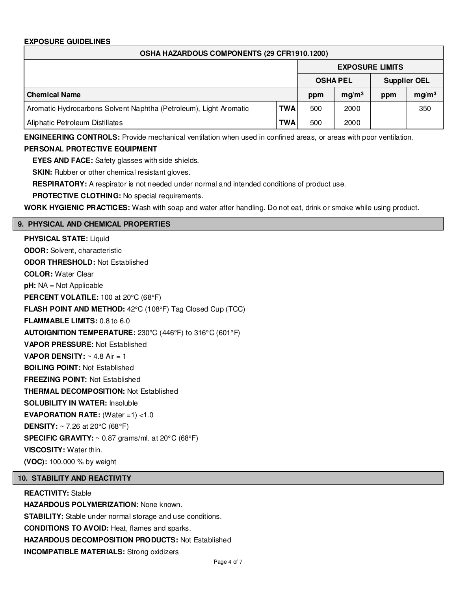# **EXPOSURE GUIDELINES**

| OSHA HAZARDOUS COMPONENTS (29 CFR1910.1200)                       |            |                 |                        |                     |                   |  |
|-------------------------------------------------------------------|------------|-----------------|------------------------|---------------------|-------------------|--|
|                                                                   |            |                 | <b>EXPOSURE LIMITS</b> |                     |                   |  |
|                                                                   |            | <b>OSHA PEL</b> |                        | <b>Supplier OEL</b> |                   |  |
| <b>Chemical Name</b>                                              |            | ppm             | mq/m <sup>3</sup>      | ppm                 | mg/m <sup>3</sup> |  |
| Aromatic Hydrocarbons Solvent Naphtha (Petroleum), Light Aromatic | <b>TWA</b> | 500             | 2000                   |                     | 350               |  |
| Aliphatic Petroleum Distillates                                   | <b>TWA</b> | 500             | 2000                   |                     |                   |  |

**ENGINEERING CONTROLS:** Provide mechanical ventilation when used in confined areas, or areas with poor ventilation.

# **PERSONAL PROTECTIVE EQUIPMENT**

**EYES AND FACE:** Safety glasses with side shields.

**SKIN:** Rubber or other chemical resistant gloves.

**RESPIRATORY:** A respirator is not needed under normal and intended conditions of product use.

**PROTECTIVE CLOTHING:** No special requirements.

**WORK HYGIENIC PRACTICES:** Wash with soap and water after handling. Do not eat, drink or smoke while using product.

#### **9. PHYSICAL AND CHEMICAL PROPERTIES**

**PHYSICAL STATE:** Liquid **ODOR:** Solvent, characteristic **ODOR THRESHOLD:** Not Established **COLOR:** Water Clear **pH:** NA = Not Applicable **PERCENT VOLATILE:** 100 at 20°C (68°F) **FLASH POINT AND METHOD:** 42°C (108°F) Tag Closed Cup (TCC) **FLAMMABLE LIMITS:** 0.8 to 6.0 **AUTOIGNITION TEMPERATURE:** 230°C (446°F) to 316°C (601°F) **VAPOR PRESSURE:** Not Established **VAPOR DENSITY:**  $\sim$  4.8 Air = 1 **BOILING POINT:** Not Established **FREEZING POINT:** Not Established **THERMAL DECOMPOSITION:** Not Established **SOLUBILITY IN WATER:** Insoluble **EVAPORATION RATE:** (Water =1) <1.0 **DENSITY:** ~ 7.26 at 20°C (68°F) **SPECIFIC GRAVITY:** ~ 0.87 grams/ml. at 20°C (68°F) **VISCOSITY:** Water thin. **(VOC):** 100.000 % by weight

#### **10. STABILITY AND REACTIVITY**

**REACTIVITY:** Stable **HAZARDOUS POLYMERIZATION:** None known. **STABILITY:** Stable under normal storage and use conditions. **CONDITIONS TO AVOID:** Heat, flames and sparks. **HAZARDOUS DECOMPOSITION PRODUCTS:** Not Established **INCOMPATIBLE MATERIALS:** Strong oxidizers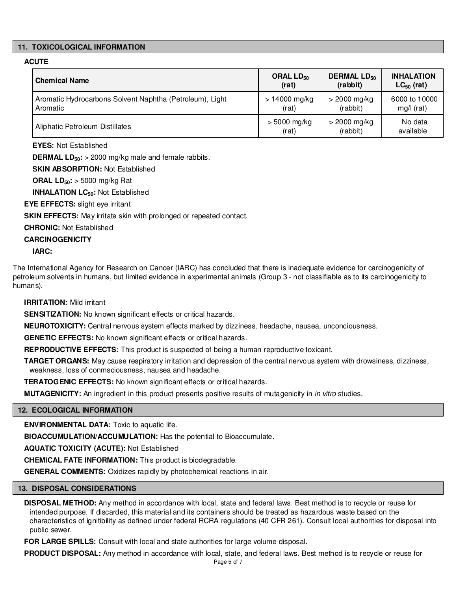# **11. TOXICOLOGICAL INFORMATION**

# **ACUTE**

| <b>Chemical Name</b>                                     | ORAL $LD_{50}$  | <b>DERMAL LD<sub>50</sub></b> | <b>INHALATION</b> |
|----------------------------------------------------------|-----------------|-------------------------------|-------------------|
|                                                          | (rat)           | (rabbit)                      | $LC_{50}$ (rat)   |
| Aromatic Hydrocarbons Solvent Naphtha (Petroleum), Light | $> 14000$ mg/kg | $>$ 2000 mg/kg                | 6000 to 10000     |
| Aromatic                                                 | (rat)           | (rabbit)                      | $mg/l$ (rat)      |
| Aliphatic Petroleum Distillates                          | > 5000 mg/kg    | $>$ 2000 mg/kg                | No data           |
|                                                          | (rat)           | (rabbit)                      | available         |

**EYES:** Not Established

**DERMAL LD50:** > 2000 mg/kg male and female rabbits.

**SKIN ABSORPTION:** Not Established

**ORAL LD50:** > 5000 mg/kg Rat

**INHALATION LC50:** Not Established

**EYE EFFECTS:** slight eye irritant

**SKIN EFFECTS:** May irritate skin with prolonged or repeated contact.

**CHRONIC:** Not Established

**CARCINOGENICITY**

**IARC:**

The International Agency for Research on Cancer (IARC) has concluded that there is inadequate evidence for carcinogenicity of petroleum solvents in humans, but limited evidence in experimental animals (Group 3 - not classifiable as to its carcinogenicity to humans).

#### **IRRITATION:** Mild irritant

**SENSITIZATION:** No known significant effects or critical hazards.

**NEUROTOXICITY:** Central nervous system effects marked by dizziness, headache, nausea, unconciousness.

**GENETIC EFFECTS:** No known significant effects or critical hazards.

**REPRODUCTIVE EFFECTS:** This product is suspected of being a human reproductive toxicant.

**TARGET ORGANS:** May cause respiratory irritation and depression of the central nervous system with drowsiness, dizziness, weakness, loss of conmsciousness, nausea and headache.

**TERATOGENIC EFFECTS:** No known significant effects or critical hazards.

**MUTAGENICITY:** An ingredient in this product presents positive results of mutagenicity in in vitro studies.

# **12. ECOLOGICAL INFORMATION**

**ENVIRONMENTAL DATA:** Toxic to aquatic life.

**BIOACCUMULATION/ACCUMULATION:** Has the potential to Bioaccumulate.

**AQUATIC TOXICITY (ACUTE):** Not Established

**CHEMICAL FATE INFORMATION:** This product is biodegradable.

**GENERAL COMMENTS:** Oxidizes rapidly by photochemical reactions in air.

#### **13. DISPOSAL CONSIDERATIONS**

**DISPOSAL METHOD:** Any method in accordance with local, state and federal laws. Best method is to recycle or reuse for intended purpose. If discarded, this material and its containers should be treated as hazardous waste based on the characteristics of ignitibility as defined under federal RCRA regulations (40 CFR 261). Consult local authorities for disposal into public sewer.

**FOR LARGE SPILLS:** Consult with local and state authorities for large volume disposal.

**PRODUCT DISPOSAL:** Any method in accordance with local, state, and federal laws. Best method is to recycle or reuse for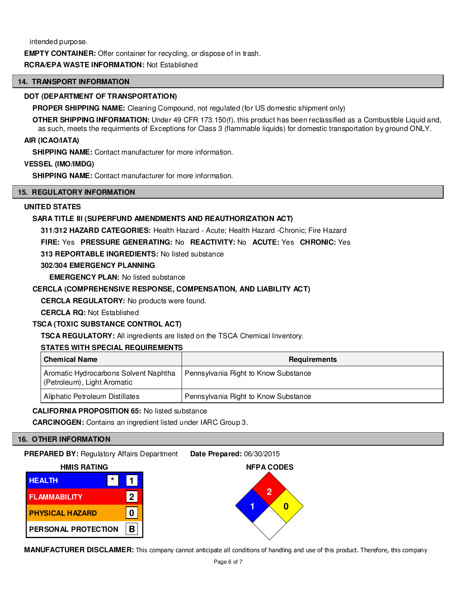intended purpose.

**EMPTY CONTAINER:** Offer container for recycling, or dispose of in trash.

# **RCRA/EPA WASTE INFORMATION:** Not Established

#### **14. TRANSPORT INFORMATION**

#### **DOT (DEPARTMENT OF TRANSPORTATION)**

**PROPER SHIPPING NAME:** Cleaning Compound, not regulated (for US domestic shipment only)

**OTHER SHIPPING INFORMATION:** Under 49 CFR 173.150(f), this product has been reclassified as a Combustible Liquid and, as such, meets the requirments of Exceptions for Class 3 (flammable liquids) for domestic transportation by ground ONLY.

#### **AIR (ICAO/IATA)**

**SHIPPING NAME:** Contact manufacturer for more information.

#### **VESSEL (IMO/IMDG)**

**SHIPPING NAME:** Contact manufacturer for more information.

# **15. REGULATORY INFORMATION**

# **UNITED STATES**

# **SARA TITLE III (SUPERFUND AMENDMENTS AND REAUTHORIZATION ACT)**

**311/312 HAZARD CATEGORIES:** Health Hazard - Acute; Health Hazard -Chronic; Fire Hazard

**FIRE:** Yes **PRESSURE GENERATING:** No **REACTIVITY:** No **ACUTE:** Yes **CHRONIC:** Yes

**313 REPORTABLE INGREDIENTS:** No listed substance

# **302/304 EMERGENCY PLANNING**

**EMERGENCY PLAN: No listed substance** 

## **CERCLA (COMPREHENSIVE RESPONSE, COMPENSATION, AND LIABILITY ACT)**

**CERCLA REGULATORY:** No products were found.

**CERCLA RQ:** Not Established

# **TSCA (TOXIC SUBSTANCE CONTROL ACT)**

**TSCA REGULATORY:** All ingredients are listed on the TSCA Chemical Inventory.

# **STATES WITH SPECIAL REQUIREMENTS**

| <b>Chemical Name</b>                                                 | Requirements                         |
|----------------------------------------------------------------------|--------------------------------------|
| Aromatic Hydrocarbons Solvent Naphtha<br>(Petroleum), Light Aromatic | Pennsylvania Right to Know Substance |
| Aliphatic Petroleum Distillates                                      | Pennsylvania Right to Know Substance |

#### **CALIFORNIA PROPOSITION 65:** No listed substance

**CARCINOGEN:** Contains an ingredient listed under IARC Group 3.

# **16. OTHER INFORMATION**

**PREPARED BY:** Regulatory Affairs Department **Date Prepared:** 06/30/2015



**MANUFACTURER DISCLAIMER:** This company cannot anticipate all conditions of handling and use of this product. Therefore, this company